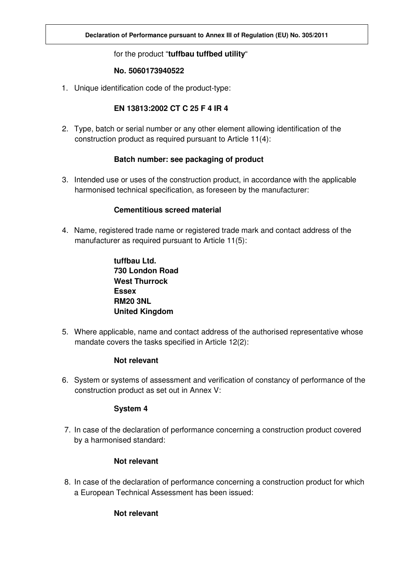# for the product "**tuffbau tuffbed utility**"

### **No. 5060173940522**

1. Unique identification code of the product-type:

## **EN 13813:2002 CT C 25 F 4 IR 4**

2. Type, batch or serial number or any other element allowing identification of the construction product as required pursuant to Article 11(4):

### **Batch number: see packaging of product**

3. Intended use or uses of the construction product, in accordance with the applicable harmonised technical specification, as foreseen by the manufacturer:

### **Cementitious screed material**

4. Name, registered trade name or registered trade mark and contact address of the manufacturer as required pursuant to Article 11(5):

> **tuffbau Ltd. 730 London Road West Thurrock Essex RM20 3NL United Kingdom**

5. Where applicable, name and contact address of the authorised representative whose mandate covers the tasks specified in Article 12(2):

### **Not relevant**

6. System or systems of assessment and verification of constancy of performance of the construction product as set out in Annex V:

### **System 4**

7. In case of the declaration of performance concerning a construction product covered by a harmonised standard:

## **Not relevant**

8. In case of the declaration of performance concerning a construction product for which a European Technical Assessment has been issued:

## **Not relevant**